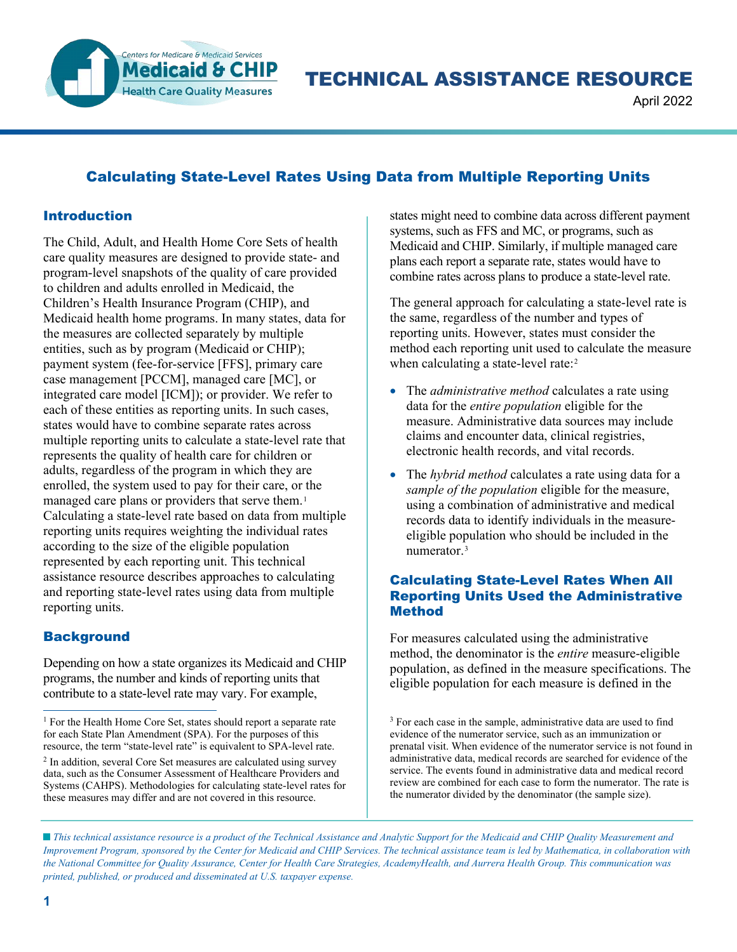

TECHNICAL ASSISTANCE RESOURCE

April 2022

# Calculating State-Level Rates Using Data from Multiple Reporting Units

### Introduction

The Child, Adult, and Health Home Core Sets of health care quality measures are designed to provide state- and program-level snapshots of the quality of care provided to children and adults enrolled in Medicaid, the Children's Health Insurance Program (CHIP), and Medicaid health home programs. In many states, data for the measures are collected separately by multiple entities, such as by program (Medicaid or CHIP); payment system (fee-for-service [FFS], primary care case management [PCCM], managed care [MC], or integrated care model [ICM]); or provider. We refer to each of these entities as reporting units. In such cases, states would have to combine separate rates across multiple reporting units to calculate a state-level rate that represents the quality of health care for children or adults, regardless of the program in which they are enrolled, the system used to pay for their care, or the managed care plans or providers that serve them.<sup>[1](#page-0-0)</sup> Calculating a state-level rate based on data from multiple reporting units requires weighting the individual rates according to the size of the eligible population represented by each reporting unit. This technical assistance resource describes approaches to calculating and reporting state-level rates using data from multiple reporting units.

### **Background**

Depending on how a state organizes its Medicaid and CHIP programs, the number and kinds of reporting units that contribute to a state-level rate may vary. For example,

states might need to combine data across different payment systems, such as FFS and MC, or programs, such as Medicaid and CHIP. Similarly, if multiple managed care plans each report a separate rate, states would have to combine rates across plans to produce a state-level rate.

The general approach for calculating a state-level rate is the same, regardless of the number and types of reporting units. However, states must consider the method each reporting unit used to calculate the measure when calculating a state-level rate:<sup>[2](#page-0-1)</sup>

- The *administrative method* calculates a rate using data for the *entire population* eligible for the measure. Administrative data sources may include claims and encounter data, clinical registries, electronic health records, and vital records.
- The *hybrid method* calculates a rate using data for a *sample of the population* eligible for the measure, using a combination of administrative and medical records data to identify individuals in the measureeligible population who should be included in the numerator.[3](#page-0-0)

### Calculating State-Level Rates When All Reporting Units Used the Administrative **Method**

For measures calculated using the administrative method, the denominator is the *entire* measure-eligible population, as defined in the measure specifications. The eligible population for each measure is defined in the

<sup>3</sup> For each case in the sample, administrative data are used to find evidence of the numerator service, such as an immunization or prenatal visit. When evidence of the numerator service is not found in administrative data, medical records are searched for evidence of the service. The events found in administrative data and medical record review are combined for each case to form the numerator. The rate is the numerator divided by the denominator (the sample size).

<span id="page-0-1"></span><span id="page-0-0"></span><sup>&</sup>lt;sup>1</sup> For the Health Home Core Set, states should report a separate rate for each State Plan Amendment (SPA). For the purposes of this resource, the term "state-level rate" is equivalent to SPA-level rate. <sup>2</sup> In addition, several Core Set measures are calculated using survey data, such as the Consumer Assessment of Healthcare Providers and Systems (CAHPS). Methodologies for calculating state-level rates for these measures may differ and are not covered in this resource.

*This technical assistance resource is a product of the Technical Assistance and Analytic Support for the Medicaid and CHIP Quality Measurement and Improvement Program, sponsored by the Center for Medicaid and CHIP Services. The technical assistance team is led by Mathematica, in collaboration with the National Committee for Quality Assurance, Center for Health Care Strategies, AcademyHealth, and Aurrera Health Group. This communication was printed, published, or produced and disseminated at U.S. taxpayer expense.*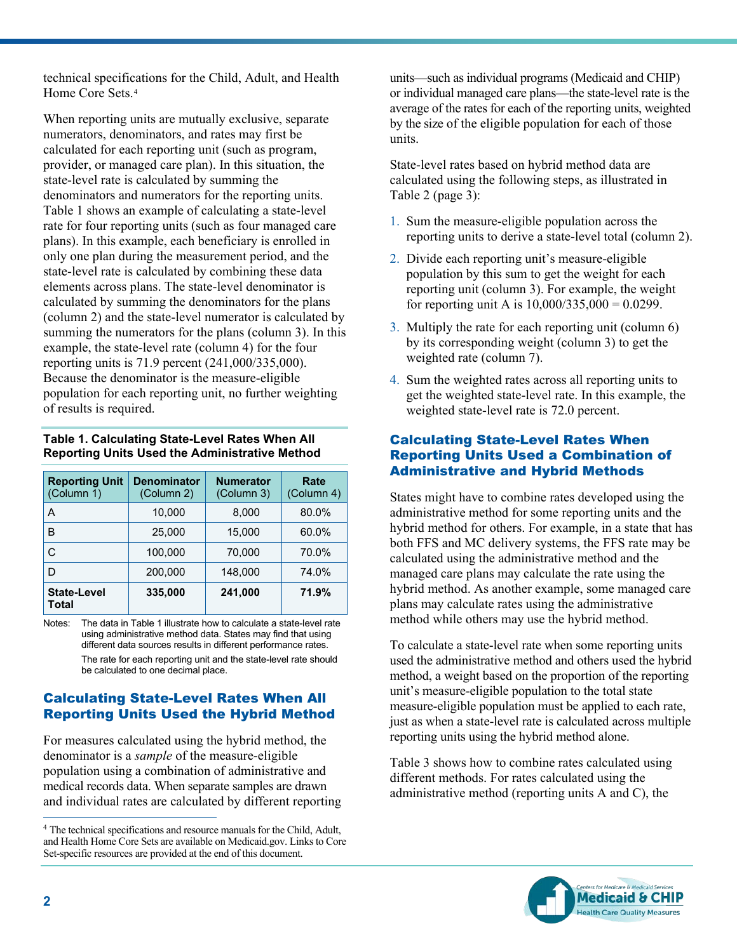technical specifications for the Child, Adult, and Health Home Core Sets.[4](#page-1-0)

When reporting units are mutually exclusive, separate numerators, denominators, and rates may first be calculated for each reporting unit (such as program, provider, or managed care plan). In this situation, the state-level rate is calculated by summing the denominators and numerators for the reporting units. Table 1 shows an example of calculating a state-level rate for four reporting units (such as four managed care plans). In this example, each beneficiary is enrolled in only one plan during the measurement period, and the state-level rate is calculated by combining these data elements across plans. The state-level denominator is calculated by summing the denominators for the plans (column 2) and the state-level numerator is calculated by summing the numerators for the plans (column 3). In this example, the state-level rate (column 4) for the four reporting units is 71.9 percent (241,000/335,000). Because the denominator is the measure-eligible population for each reporting unit, no further weighting of results is required.

#### **Table 1. Calculating State-Level Rates When All Reporting Units Used the Administrative Method**

| <b>Reporting Unit</b><br>(Column 1) | <b>Denominator</b><br>(Column 2) | <b>Numerator</b><br>(Column 3) | Rate<br>(Column 4) |
|-------------------------------------|----------------------------------|--------------------------------|--------------------|
| A                                   | 10,000                           | 8,000                          | 80.0%              |
| в                                   | 25,000                           | 15,000                         | 60.0%              |
| С                                   | 100,000                          | 70,000                         | 70.0%              |
| D                                   | 200,000                          | 148,000                        | 74.0%              |
| <b>State-Level</b><br>Total         | 335,000                          | 241,000                        | 71.9%              |

Notes: The data in Table 1 illustrate how to calculate a state-level rate using administrative method data. States may find that using different data sources results in different performance rates. The rate for each reporting unit and the state-level rate should be calculated to one decimal place.

# Calculating State-Level Rates When All Reporting Units Used the Hybrid Method

For measures calculated using the hybrid method, the denominator is a *sample* of the measure-eligible population using a combination of administrative and medical records data. When separate samples are drawn and individual rates are calculated by different reporting

units—such as individual programs (Medicaid and CHIP) or individual managed care plans—the state-level rate is the average of the rates for each of the reporting units, weighted by the size of the eligible population for each of those units.

State-level rates based on hybrid method data are calculated using the following steps, as illustrated in Table 2 (page 3):

- 1. Sum the measure-eligible population across the reporting units to derive a state-level total (column 2).
- 2. Divide each reporting unit's measure-eligible population by this sum to get the weight for each reporting unit (column 3). For example, the weight for reporting unit A is  $10,000/335,000 = 0.0299$ .
- 3. Multiply the rate for each reporting unit (column 6) by its corresponding weight (column 3) to get the weighted rate (column 7).
- 4. Sum the weighted rates across all reporting units to get the weighted state-level rate. In this example, the weighted state-level rate is 72.0 percent.

### Calculating State-Level Rates When Reporting Units Used a Combination of Administrative and Hybrid Methods

States might have to combine rates developed using the administrative method for some reporting units and the hybrid method for others. For example, in a state that has both FFS and MC delivery systems, the FFS rate may be calculated using the administrative method and the managed care plans may calculate the rate using the hybrid method. As another example, some managed care plans may calculate rates using the administrative method while others may use the hybrid method.

To calculate a state-level rate when some reporting units used the administrative method and others used the hybrid method, a weight based on the proportion of the reporting unit's measure-eligible population to the total state measure-eligible population must be applied to each rate, just as when a state-level rate is calculated across multiple reporting units using the hybrid method alone.

Table 3 shows how to combine rates calculated using different methods. For rates calculated using the administrative method (reporting units A and C), the



<span id="page-1-0"></span><sup>4</sup> The technical specifications and resource manuals for the Child, Adult, and Health Home Core Sets are available on Medicaid.gov. Links to Core Set-specific resources are provided at the end of this document.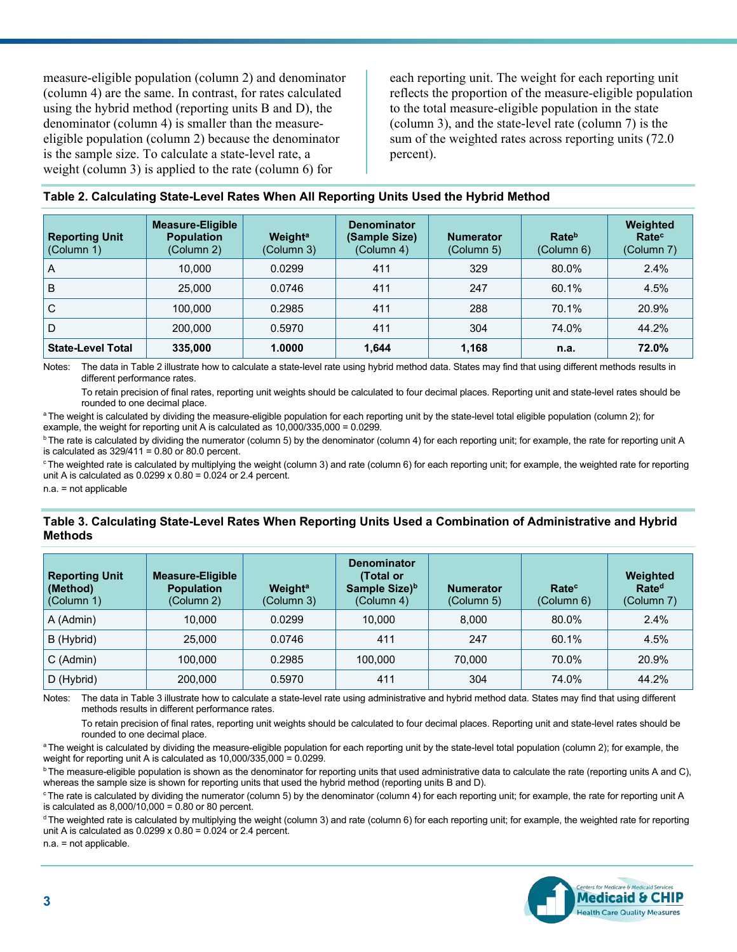measure-eligible population (column 2) and denominator (column 4) are the same. In contrast, for rates calculated using the hybrid method (reporting units B and D), the denominator (column 4) is smaller than the measureeligible population (column 2) because the denominator is the sample size. To calculate a state-level rate, a weight (column 3) is applied to the rate (column 6) for

each reporting unit. The weight for each reporting unit reflects the proportion of the measure-eligible population to the total measure-eligible population in the state (column 3), and the state-level rate (column 7) is the sum of the weighted rates across reporting units (72.0 percent).

| Table 2. Calculating State-Level Rates When All Reporting Units Used the Hybrid Method |  |  |
|----------------------------------------------------------------------------------------|--|--|
|----------------------------------------------------------------------------------------|--|--|

| <b>Reporting Unit</b><br>(Column 1) | Measure-Eligible<br><b>Population</b><br>(Column 2) | Weight <sup>a</sup><br>(Column 3) | <b>Denominator</b><br>(Sample Size)<br>(Column 4) | <b>Numerator</b><br>(Column 5) | Rateb<br>(Column 6) | Weighted<br>Rate <sup>c</sup><br>(Column 7) |
|-------------------------------------|-----------------------------------------------------|-----------------------------------|---------------------------------------------------|--------------------------------|---------------------|---------------------------------------------|
| A                                   | 10.000                                              | 0.0299                            | 411                                               | 329                            | 80.0%               | 2.4%                                        |
| B                                   | 25,000                                              | 0.0746                            | 411                                               | 247                            | 60.1%               | 4.5%                                        |
| С                                   | 100.000                                             | 0.2985                            | 411                                               | 288                            | 70.1%               | 20.9%                                       |
| D                                   | 200,000                                             | 0.5970                            | 411                                               | 304                            | 74.0%               | 44.2%                                       |
| <b>State-Level Total</b>            | 335,000                                             | 1.0000                            | 1.644                                             | 1,168                          | n.a.                | 72.0%                                       |

Notes: The data in Table 2 illustrate how to calculate a state-level rate using hybrid method data. States may find that using different methods results in different performance rates.

To retain precision of final rates, reporting unit weights should be calculated to four decimal places. Reporting unit and state-level rates should be rounded to one decimal place.

<sup>a</sup> The weight is calculated by dividing the measure-eligible population for each reporting unit by the state-level total eligible population (column 2); for example, the weight for reporting unit A is calculated as 10,000/335,000 = 0.0299.

<sup>b</sup> The rate is calculated by dividing the numerator (column 5) by the denominator (column 4) for each reporting unit; for example, the rate for reporting unit A is calculated as  $329/411 = 0.80$  or 80.0 percent.

<sup>c</sup> The weighted rate is calculated by multiplying the weight (column 3) and rate (column 6) for each reporting unit; for example, the weighted rate for reporting unit A is calculated as  $0.0299 \times 0.80 = 0.024$  or 2.4 percent.

n.a. = not applicable

#### **Table 3. Calculating State-Level Rates When Reporting Units Used a Combination of Administrative and Hybrid Methods**

| <b>Reporting Unit</b><br>(Method)<br>(Column 1) | <b>Measure-Eligible</b><br><b>Population</b><br>(Column 2) | Weight <sup>a</sup><br>(Column 3) | <b>Denominator</b><br>(Total or<br>Sample Size) <sup>b</sup><br>(Column 4) | <b>Numerator</b><br>(Column 5) | Rate <sup>c</sup><br>(Column 6) | Weighted<br>Rate <sup>d</sup><br>(Column 7) |
|-------------------------------------------------|------------------------------------------------------------|-----------------------------------|----------------------------------------------------------------------------|--------------------------------|---------------------------------|---------------------------------------------|
| A (Admin)                                       | 10.000                                                     | 0.0299                            | 10.000                                                                     | 8.000                          | 80.0%                           | 2.4%                                        |
| B (Hybrid)                                      | 25,000                                                     | 0.0746                            | 411                                                                        | 247                            | 60.1%                           | 4.5%                                        |
| C (Admin)                                       | 100.000                                                    | 0.2985                            | 100.000                                                                    | 70.000                         | 70.0%                           | 20.9%                                       |
| D (Hybrid)                                      | 200,000                                                    | 0.5970                            | 411                                                                        | 304                            | 74.0%                           | 44.2%                                       |

Notes: The data in Table 3 illustrate how to calculate a state-level rate using administrative and hybrid method data. States may find that using different methods results in different performance rates.

To retain precision of final rates, reporting unit weights should be calculated to four decimal places. Reporting unit and state-level rates should be<br>rounded to one decimal place.

<sup>a</sup> The weight is calculated by dividing the measure-eligible population for each reporting unit by the state-level total population (column 2); for example, the weight for reporting unit A is calculated as 10,000/335,000 = 0.0299.

<sup>b</sup>The measure-eligible population is shown as the denominator for reporting units that used administrative data to calculate the rate (reporting units A and C), whereas the sample size is shown for reporting units that used the hybrid method (reporting units B and D).

<sup>c</sup>The rate is calculated by dividing the numerator (column 5) by the denominator (column 4) for each reporting unit; for example, the rate for reporting unit A is calculated as  $8,000/10,000 = 0.80$  or 80 percent.

<sup>d</sup>The weighted rate is calculated by multiplying the weight (column 3) and rate (column 6) for each reporting unit; for example, the weighted rate for reporting unit A is calculated as  $0.0299 \times 0.80 = 0.024$  or 2.4 percent.

n.a. = not applicable.

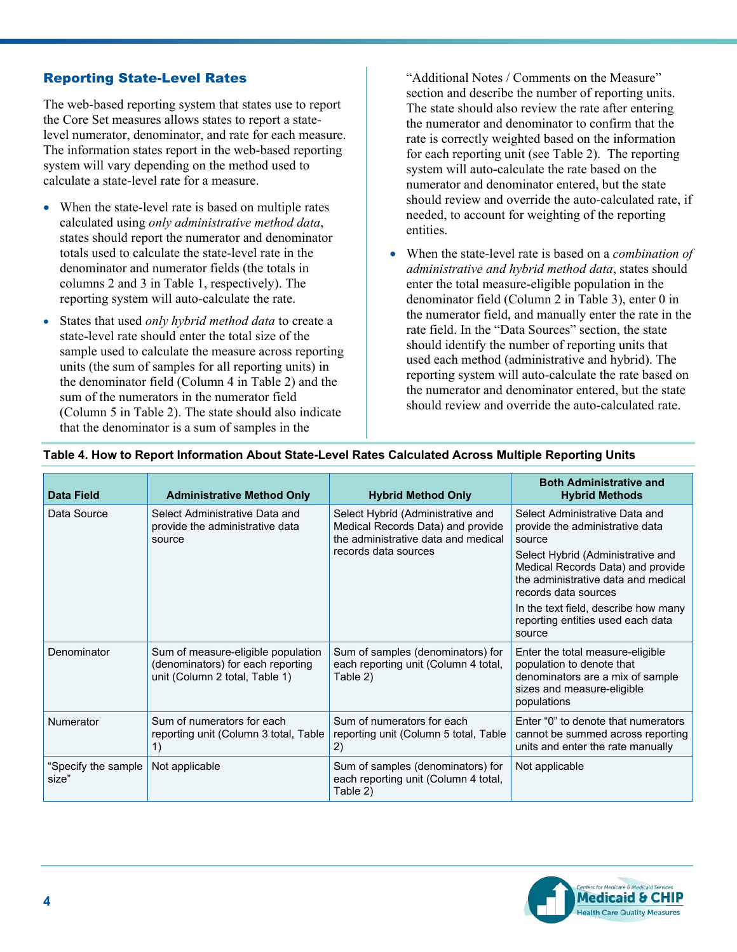## Reporting State-Level Rates

The web-based reporting system that states use to report the Core Set measures allows states to report a statelevel numerator, denominator, and rate for each measure. The information states report in the web-based reporting system will vary depending on the method used to calculate a state-level rate for a measure.

- When the state-level rate is based on multiple rates calculated using *only administrative method data*, states should report the numerator and denominator totals used to calculate the state-level rate in the denominator and numerator fields (the totals in columns 2 and 3 in Table 1, respectively). The reporting system will auto-calculate the rate.
- States that used *only hybrid method data* to create a state-level rate should enter the total size of the sample used to calculate the measure across reporting units (the sum of samples for all reporting units) in the denominator field (Column 4 in Table 2) and the sum of the numerators in the numerator field (Column 5 in Table 2). The state should also indicate that the denominator is a sum of samples in the

"Additional Notes / Comments on the Measure" section and describe the number of reporting units. The state should also review the rate after entering the numerator and denominator to confirm that the rate is correctly weighted based on the information for each reporting unit (see Table 2). The reporting system will auto-calculate the rate based on the numerator and denominator entered, but the state should review and override the auto-calculated rate, if needed, to account for weighting of the reporting entities.

• When the state-level rate is based on a *combination of administrative and hybrid method data*, states should enter the total measure-eligible population in the denominator field (Column 2 in Table 3), enter 0 in the numerator field, and manually enter the rate in the rate field. In the "Data Sources" section, the state should identify the number of reporting units that used each method (administrative and hybrid). The reporting system will auto-calculate the rate based on the numerator and denominator entered, but the state should review and override the auto-calculated rate.

| <b>Data Field</b>            | <b>Administrative Method Only</b>                                                                         | <b>Hybrid Method Only</b>                                                                                                             | <b>Both Administrative and</b><br><b>Hybrid Methods</b>                                                                                        |  |  |  |
|------------------------------|-----------------------------------------------------------------------------------------------------------|---------------------------------------------------------------------------------------------------------------------------------------|------------------------------------------------------------------------------------------------------------------------------------------------|--|--|--|
| Data Source                  | Select Administrative Data and<br>provide the administrative data<br>source                               | Select Hybrid (Administrative and<br>Medical Records Data) and provide<br>the administrative data and medical<br>records data sources | Select Administrative Data and<br>provide the administrative data<br>source                                                                    |  |  |  |
|                              |                                                                                                           |                                                                                                                                       | Select Hybrid (Administrative and<br>Medical Records Data) and provide<br>the administrative data and medical<br>records data sources          |  |  |  |
|                              |                                                                                                           |                                                                                                                                       | In the text field, describe how many<br>reporting entities used each data<br>source                                                            |  |  |  |
| Denominator                  | Sum of measure-eligible population<br>(denominators) for each reporting<br>unit (Column 2 total, Table 1) | Sum of samples (denominators) for<br>each reporting unit (Column 4 total,<br>Table 2)                                                 | Enter the total measure-eligible<br>population to denote that<br>denominators are a mix of sample<br>sizes and measure-eligible<br>populations |  |  |  |
| Numerator                    | Sum of numerators for each<br>reporting unit (Column 3 total, Table<br>1)                                 | Sum of numerators for each<br>reporting unit (Column 5 total, Table<br>2)                                                             | Enter "0" to denote that numerators<br>cannot be summed across reporting<br>units and enter the rate manually                                  |  |  |  |
| "Specify the sample<br>size" | Not applicable                                                                                            | Sum of samples (denominators) for<br>each reporting unit (Column 4 total,<br>Table 2)                                                 | Not applicable                                                                                                                                 |  |  |  |

#### **Table 4. How to Report Information About State-Level Rates Calculated Across Multiple Reporting Units**